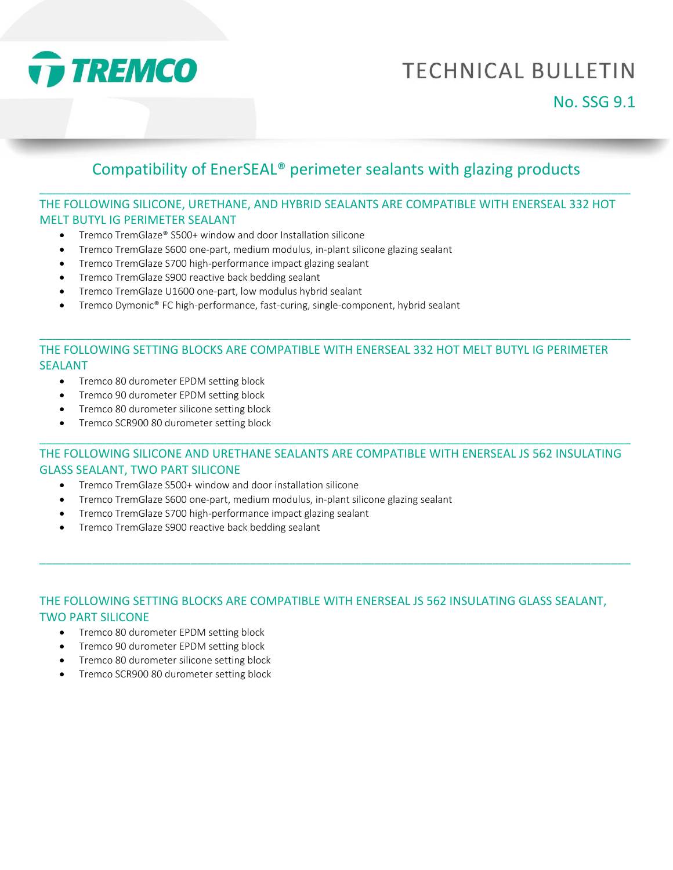

# **TECHNICAL BULLETIN**

## Compatibility of EnerSEAL® perimeter sealants with glazing products \_\_\_\_\_\_\_\_\_\_\_\_\_\_\_\_\_\_\_\_\_\_\_\_\_\_\_\_\_\_\_\_\_\_\_\_\_\_\_\_\_\_\_\_\_\_\_\_\_\_\_\_\_\_\_\_\_\_\_\_\_\_\_\_\_\_\_\_\_\_\_\_\_\_\_\_\_\_\_\_\_\_\_\_\_\_\_\_\_\_

#### THE FOLLOWING SILICONE, URETHANE, AND HYBRID SEALANTS ARE COMPATIBLE WITH ENERSEAL 332 HOT MELT BUTYL IG PERIMETER SEALANT

- Tremco TremGlaze® S500+ window and door Installation silicone
- Tremco TremGlaze S600 one-part, medium modulus, in-plant silicone glazing sealant
- Tremco TremGlaze S700 high-performance impact glazing sealant
- Tremco TremGlaze S900 reactive back bedding sealant
- Tremco TremGlaze U1600 one-part, low modulus hybrid sealant
- Tremco Dymonic® FC high-performance, fast-curing, single-component, hybrid sealant

#### THE FOLLOWING SETTING BLOCKS ARE COMPATIBLE WITH ENERSEAL 332 HOT MELT BUTYL IG PERIMETER SEALANT

\_\_\_\_\_\_\_\_\_\_\_\_\_\_\_\_\_\_\_\_\_\_\_\_\_\_\_\_\_\_\_\_\_\_\_\_\_\_\_\_\_\_\_\_\_\_\_\_\_\_\_\_\_\_\_\_\_\_\_\_\_\_\_\_\_\_\_\_\_\_\_\_\_\_\_\_\_\_\_\_\_\_\_\_\_\_\_\_\_\_

- Tremco 80 durometer EPDM setting block
- Tremco 90 durometer EPDM setting block
- Tremco 80 durometer silicone setting block
- Tremco SCR900 80 durometer setting block

#### THE FOLLOWING SILICONE AND URETHANE SEALANTS ARE COMPATIBLE WITH ENERSEAL JS 562 INSULATING GLASS SEALANT, TWO PART SILICONE

\_\_\_\_\_\_\_\_\_\_\_\_\_\_\_\_\_\_\_\_\_\_\_\_\_\_\_\_\_\_\_\_\_\_\_\_\_\_\_\_\_\_\_\_\_\_\_\_\_\_\_\_\_\_\_\_\_\_\_\_\_\_\_\_\_\_\_\_\_\_\_\_\_\_\_\_\_\_\_\_\_\_\_\_\_\_\_\_\_\_

- Tremco TremGlaze S500+ window and door installation silicone
- Tremco TremGlaze S600 one-part, medium modulus, in-plant silicone glazing sealant
- Tremco TremGlaze S700 high-performance impact glazing sealant
- Tremco TremGlaze S900 reactive back bedding sealant

#### THE FOLLOWING SETTING BLOCKS ARE COMPATIBLE WITH ENERSEAL JS 562 INSULATING GLASS SEALANT, TWO PART SILICONE

\_\_\_\_\_\_\_\_\_\_\_\_\_\_\_\_\_\_\_\_\_\_\_\_\_\_\_\_\_\_\_\_\_\_\_\_\_\_\_\_\_\_\_\_\_\_\_\_\_\_\_\_\_\_\_\_\_\_\_\_\_\_\_\_\_\_\_\_\_\_\_\_\_\_\_\_\_\_\_\_\_\_\_\_\_\_\_\_\_\_

- Tremco 80 durometer EPDM setting block
- Tremco 90 durometer EPDM setting block
- Tremco 80 durometer silicone setting block
- Tremco SCR900 80 durometer setting block